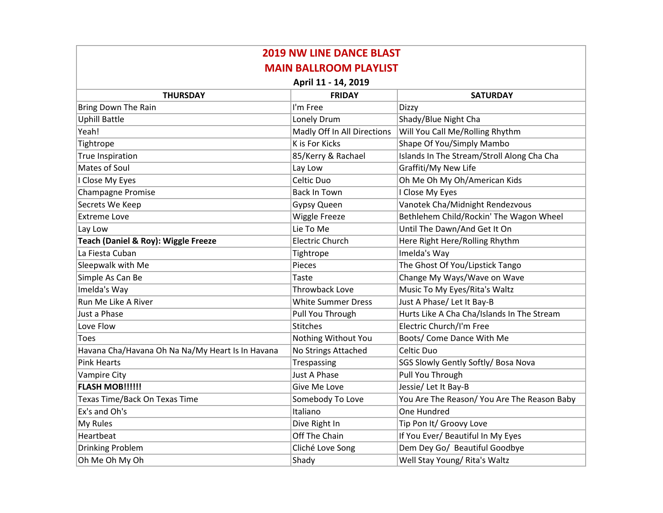| <b>2019 NW LINE DANCE BLAST</b>                  |                             |                                             |  |  |
|--------------------------------------------------|-----------------------------|---------------------------------------------|--|--|
| <b>MAIN BALLROOM PLAYLIST</b>                    |                             |                                             |  |  |
| April 11 - 14, 2019                              |                             |                                             |  |  |
| <b>THURSDAY</b>                                  | <b>FRIDAY</b>               | <b>SATURDAY</b>                             |  |  |
| <b>Bring Down The Rain</b>                       | I'm Free                    | Dizzy                                       |  |  |
| <b>Uphill Battle</b>                             | Lonely Drum                 | Shady/Blue Night Cha                        |  |  |
| Yeah!                                            | Madly Off In All Directions | Will You Call Me/Rolling Rhythm             |  |  |
| Tightrope                                        | K is For Kicks              | Shape Of You/Simply Mambo                   |  |  |
| <b>True Inspiration</b>                          | 85/Kerry & Rachael          | Islands In The Stream/Stroll Along Cha Cha  |  |  |
| Mates of Soul                                    | Lay Low                     | Graffiti/My New Life                        |  |  |
| I Close My Eyes                                  | Celtic Duo                  | Oh Me Oh My Oh/American Kids                |  |  |
| <b>Champagne Promise</b>                         | <b>Back In Town</b>         | I Close My Eyes                             |  |  |
| Secrets We Keep                                  | Gypsy Queen                 | Vanotek Cha/Midnight Rendezvous             |  |  |
| Extreme Love                                     | Wiggle Freeze               | Bethlehem Child/Rockin' The Wagon Wheel     |  |  |
| Lay Low                                          | Lie To Me                   | Until The Dawn/And Get It On                |  |  |
| Teach (Daniel & Roy): Wiggle Freeze              | <b>Electric Church</b>      | Here Right Here/Rolling Rhythm              |  |  |
| La Fiesta Cuban                                  | Tightrope                   | Imelda's Way                                |  |  |
| Sleepwalk with Me                                | Pieces                      | The Ghost Of You/Lipstick Tango             |  |  |
| Simple As Can Be                                 | <b>Taste</b>                | Change My Ways/Wave on Wave                 |  |  |
| Imelda's Way                                     | <b>Throwback Love</b>       | Music To My Eyes/Rita's Waltz               |  |  |
| Run Me Like A River                              | <b>White Summer Dress</b>   | Just A Phase/ Let It Bay-B                  |  |  |
| Just a Phase                                     | Pull You Through            | Hurts Like A Cha Cha/Islands In The Stream  |  |  |
| Love Flow                                        | <b>Stitches</b>             | Electric Church/I'm Free                    |  |  |
| Toes                                             | Nothing Without You         | Boots/ Come Dance With Me                   |  |  |
| Havana Cha/Havana Oh Na Na/My Heart Is In Havana | No Strings Attached         | Celtic Duo                                  |  |  |
| <b>Pink Hearts</b>                               | Trespassing                 | SGS Slowly Gently Softly/ Bosa Nova         |  |  |
| <b>Vampire City</b>                              | <b>Just A Phase</b>         | Pull You Through                            |  |  |
| <b>FLASH MOB!!!!!!</b>                           | Give Me Love                | Jessie/ Let It Bay-B                        |  |  |
| Texas Time/Back On Texas Time                    | Somebody To Love            | You Are The Reason/ You Are The Reason Baby |  |  |
| Ex's and Oh's                                    | Italiano                    | One Hundred                                 |  |  |
| My Rules                                         | Dive Right In               | Tip Pon It/ Groovy Love                     |  |  |
| Heartbeat                                        | Off The Chain               | If You Ever/ Beautiful In My Eyes           |  |  |
| Drinking Problem                                 | Cliché Love Song            | Dem Dey Go/ Beautiful Goodbye               |  |  |
| Oh Me Oh My Oh                                   | Shady                       | Well Stay Young/ Rita's Waltz               |  |  |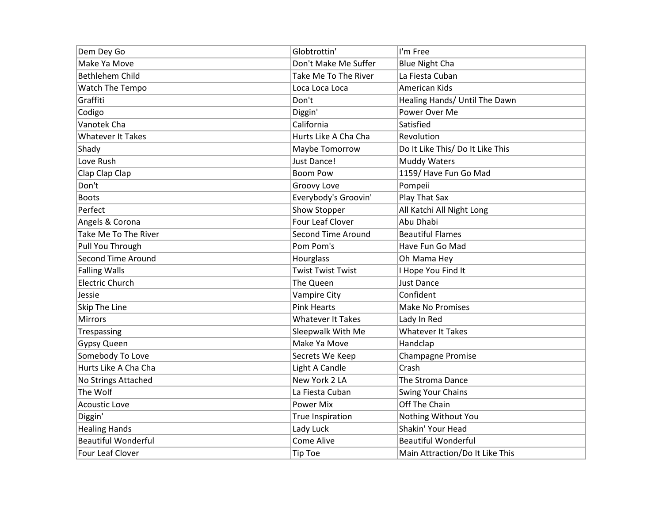| Dem Dey Go                 | Globtrottin'              | I'm Free                         |
|----------------------------|---------------------------|----------------------------------|
| Make Ya Move               | Don't Make Me Suffer      | <b>Blue Night Cha</b>            |
| <b>Bethlehem Child</b>     | Take Me To The River      | La Fiesta Cuban                  |
| Watch The Tempo            | Loca Loca Loca            | American Kids                    |
| Graffiti                   | Don't                     | Healing Hands/ Until The Dawn    |
| Codigo                     | Diggin'                   | Power Over Me                    |
| Vanotek Cha                | California                | Satisfied                        |
| <b>Whatever It Takes</b>   | Hurts Like A Cha Cha      | Revolution                       |
| Shady                      | Maybe Tomorrow            | Do It Like This/ Do It Like This |
| Love Rush                  | Just Dance!               | <b>Muddy Waters</b>              |
| Clap Clap Clap             | <b>Boom Pow</b>           | 1159/ Have Fun Go Mad            |
| Don't                      | Groovy Love               | Pompeii                          |
| <b>Boots</b>               | Everybody's Groovin'      | Play That Sax                    |
| Perfect                    | Show Stopper              | All Katchi All Night Long        |
| Angels & Corona            | <b>Four Leaf Clover</b>   | Abu Dhabi                        |
| Take Me To The River       | <b>Second Time Around</b> | <b>Beautiful Flames</b>          |
| Pull You Through           | Pom Pom's                 | Have Fun Go Mad                  |
| <b>Second Time Around</b>  | Hourglass                 | Oh Mama Hey                      |
| <b>Falling Walls</b>       | <b>Twist Twist Twist</b>  | I Hope You Find It               |
| <b>Electric Church</b>     | The Queen                 | <b>Just Dance</b>                |
| Jessie                     | <b>Vampire City</b>       | Confident                        |
| Skip The Line              | <b>Pink Hearts</b>        | <b>Make No Promises</b>          |
| <b>Mirrors</b>             | <b>Whatever It Takes</b>  | Lady In Red                      |
| Trespassing                | Sleepwalk With Me         | <b>Whatever It Takes</b>         |
| Gypsy Queen                | Make Ya Move              | Handclap                         |
| Somebody To Love           | Secrets We Keep           | <b>Champagne Promise</b>         |
| Hurts Like A Cha Cha       | Light A Candle            | Crash                            |
| No Strings Attached        | New York 2 LA             | The Stroma Dance                 |
| The Wolf                   | La Fiesta Cuban           | <b>Swing Your Chains</b>         |
| <b>Acoustic Love</b>       | <b>Power Mix</b>          | Off The Chain                    |
| Diggin'                    | True Inspiration          | Nothing Without You              |
| <b>Healing Hands</b>       | Lady Luck                 | Shakin' Your Head                |
| <b>Beautiful Wonderful</b> | Come Alive                | <b>Beautiful Wonderful</b>       |
| Four Leaf Clover           | <b>Tip Toe</b>            | Main Attraction/Do It Like This  |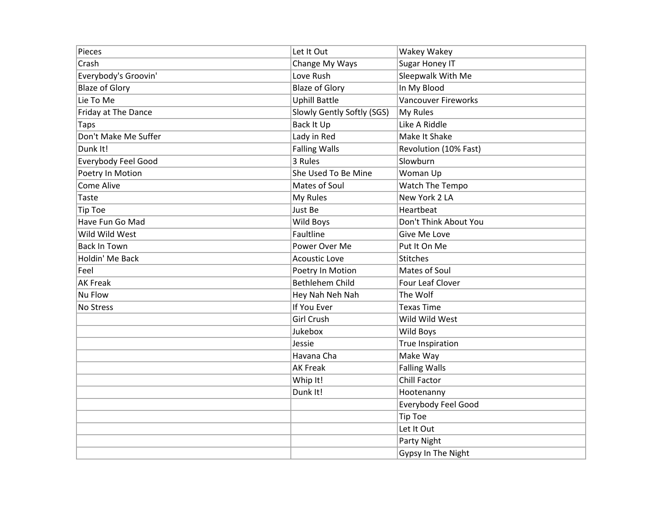| Pieces                     | Let It Out                 | Wakey Wakey                |
|----------------------------|----------------------------|----------------------------|
| Crash                      | Change My Ways             | Sugar Honey IT             |
| Everybody's Groovin'       | Love Rush                  | Sleepwalk With Me          |
| <b>Blaze of Glory</b>      | <b>Blaze of Glory</b>      | In My Blood                |
| Lie To Me                  | <b>Uphill Battle</b>       | <b>Vancouver Fireworks</b> |
| Friday at The Dance        | Slowly Gently Softly (SGS) | My Rules                   |
| Taps                       | Back It Up                 | Like A Riddle              |
| Don't Make Me Suffer       | Lady in Red                | Make It Shake              |
| Dunk It!                   | <b>Falling Walls</b>       | Revolution (10% Fast)      |
| <b>Everybody Feel Good</b> | 3 Rules                    | Slowburn                   |
| Poetry In Motion           | She Used To Be Mine        | Woman Up                   |
| Come Alive                 | Mates of Soul              | Watch The Tempo            |
| <b>Taste</b>               | My Rules                   | New York 2 LA              |
| <b>Tip Toe</b>             | Just Be                    | Heartbeat                  |
| Have Fun Go Mad            | Wild Boys                  | Don't Think About You      |
| Wild Wild West             | Faultline                  | Give Me Love               |
| <b>Back In Town</b>        | Power Over Me              | Put It On Me               |
| Holdin' Me Back            | <b>Acoustic Love</b>       | Stitches                   |
| Feel                       | Poetry In Motion           | Mates of Soul              |
| <b>AK Freak</b>            | Bethlehem Child            | Four Leaf Clover           |
| Nu Flow                    | Hey Nah Neh Nah            | The Wolf                   |
| No Stress                  | If You Ever                | <b>Texas Time</b>          |
|                            | <b>Girl Crush</b>          | Wild Wild West             |
|                            | Jukebox                    | Wild Boys                  |
|                            | Jessie                     | True Inspiration           |
|                            | Havana Cha                 | Make Way                   |
|                            | <b>AK Freak</b>            | <b>Falling Walls</b>       |
|                            | Whip It!                   | Chill Factor               |
|                            | Dunk It!                   | Hootenanny                 |
|                            |                            | Everybody Feel Good        |
|                            |                            | <b>Tip Toe</b>             |
|                            |                            | Let It Out                 |
|                            |                            | Party Night                |
|                            |                            | Gypsy In The Night         |